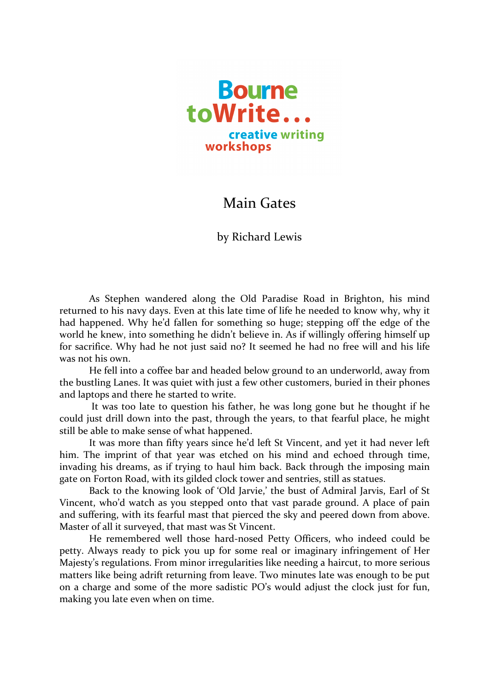

## Main Gates

by Richard Lewis

As Stephen wandered along the Old Paradise Road in Brighton, his mind returned to his navy days. Even at this late time of life he needed to know why, why it had happened. Why he'd fallen for something so huge; stepping off the edge of the world he knew, into something he didn't believe in. As if willingly offering himself up for sacrifice. Why had he not just said no? It seemed he had no free will and his life was not his own.

He fell into a coffee bar and headed below ground to an underworld, away from the bustling Lanes. It was quiet with just a few other customers, buried in their phones and laptops and there he started to write.

It was too late to question his father, he was long gone but he thought if he could just drill down into the past, through the years, to that fearful place, he might still be able to make sense of what happened.

It was more than fifty years since he'd left St Vincent, and yet it had never left him. The imprint of that year was etched on his mind and echoed through time, invading his dreams, as if trying to haul him back. Back through the imposing main gate on Forton Road, with its gilded clock tower and sentries, still as statues.

Back to the knowing look of 'Old Jarvie,' the bust of Admiral Jarvis, Earl of St Vincent, who'd watch as you stepped onto that vast parade ground. A place of pain and suffering, with its fearful mast that pierced the sky and peered down from above. Master of all it surveyed, that mast was St Vincent.

He remembered well those hard-nosed Petty Officers, who indeed could be petty. Always ready to pick you up for some real or imaginary infringement of Her Majesty's regulations. From minor irregularities like needing a haircut, to more serious matters like being adrift returning from leave. Two minutes late was enough to be put on a charge and some of the more sadistic PO's would adjust the clock just for fun, making you late even when on time.